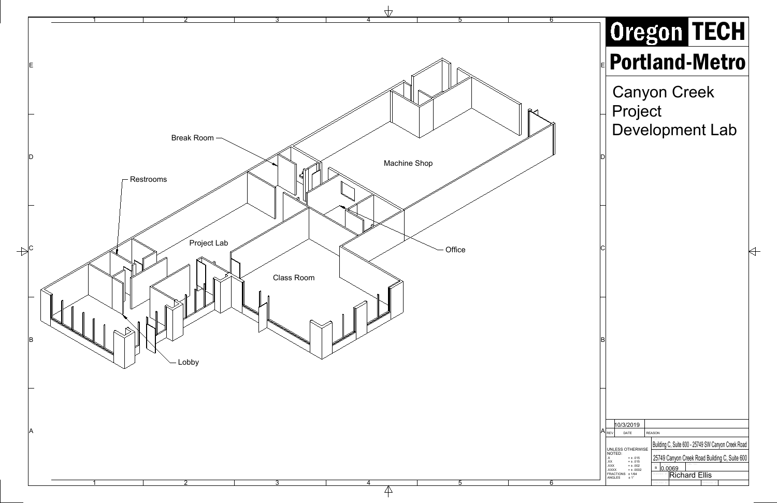|    |                                                                                                                                                                                                          | Oregon TECH                                                                                                                                    |
|----|----------------------------------------------------------------------------------------------------------------------------------------------------------------------------------------------------------|------------------------------------------------------------------------------------------------------------------------------------------------|
|    | <b>EPortland-Metro</b>                                                                                                                                                                                   |                                                                                                                                                |
|    | Project                                                                                                                                                                                                  | <b>Canyon Creek</b><br><b>Development Lab</b>                                                                                                  |
| ID |                                                                                                                                                                                                          |                                                                                                                                                |
|    |                                                                                                                                                                                                          |                                                                                                                                                |
| C  |                                                                                                                                                                                                          |                                                                                                                                                |
|    |                                                                                                                                                                                                          |                                                                                                                                                |
| B  |                                                                                                                                                                                                          |                                                                                                                                                |
|    |                                                                                                                                                                                                          |                                                                                                                                                |
|    | 10/3/2019<br>$ A _{\mathsf{REV}}$<br>DATE                                                                                                                                                                | <b>REASON</b>                                                                                                                                  |
|    | UNLESS OTHERWISE<br>NOTED:<br>$\mathsf{X}$<br>$\stackrel{= \pm}{=} .015$<br>$\stackrel{= \pm}{=} .015$<br>XX<br>$= \pm .002$<br>.XXX<br><b>XXXX.</b><br>$= 1.0002$<br>FRACTIONS ± 1/64<br>ANGLES<br>± 1° | Building C, Suite 600 - 25749 SW Canyon Creek Road<br>25749 Canyon Creek Road Building C, Suite 600<br><b>B</b> 0.0069<br><b>Richard Ellis</b> |